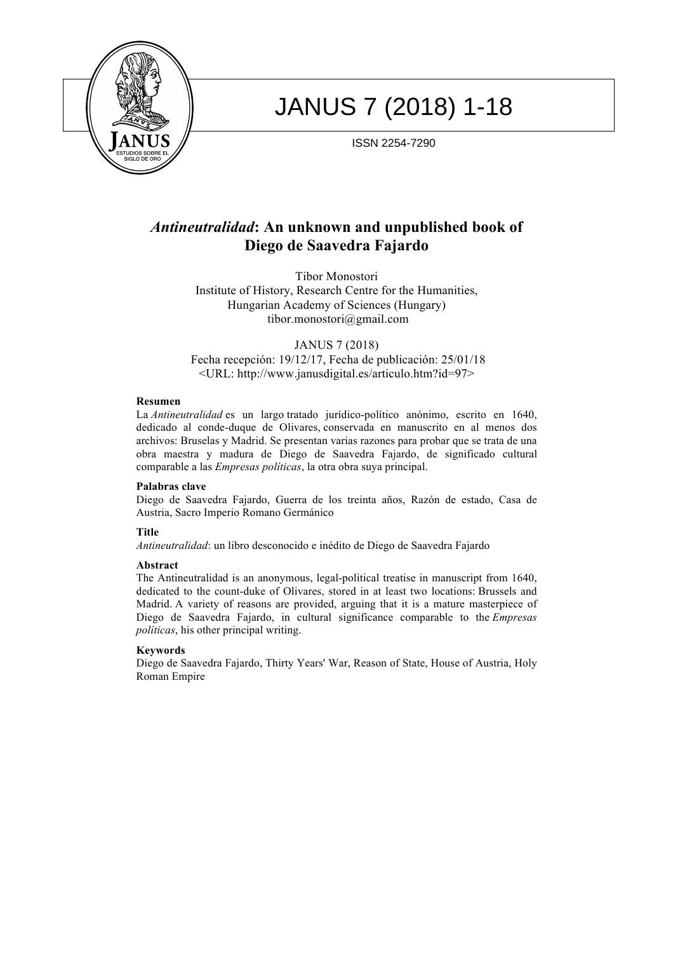

# JANUS 7 (2018) 1-18

ISSN 2254-7290

# *Antineutralidad***: An unknown and unpublished book of Diego de Saavedra Fajardo**

Tibor Monostori Institute of History, Research Centre for the Humanities, Hungarian Academy of Sciences (Hungary) tibor.monostori@gmail.com

JANUS 7 (2018) Fecha recepción: 19/12/17, Fecha de publicación: 25/01/18 <URL: http://www.janusdigital.es/articulo.htm?id=97>

# **Resumen**

La *Antineutralidad* es un largo tratado jurídico-político anónimo, escrito en 1640, dedicado al conde-duque de Olivares, conservada en manuscrito en al menos dos archivos: Bruselas y Madrid. Se presentan varias razones para probar que se trata de una obra maestra y madura de Diego de Saavedra Fajardo, de significado cultural comparable a las *Empresas políticas*, la otra obra suya principal.

# **Palabras clave**

Diego de Saavedra Fajardo, Guerra de los treinta años, Razón de estado, Casa de Austria, Sacro Imperio Romano Germánico

# **Title**

*Antineutralidad*: un libro desconocido e inédito de Diego de Saavedra Fajardo

# **Abstract**

The Antineutralidad is an anonymous, legal-political treatise in manuscript from 1640, dedicated to the count-duke of Olivares, stored in at least two locations: Brussels and Madrid. A variety of reasons are provided, arguing that it is a mature masterpiece of Diego de Saavedra Fajardo, in cultural significance comparable to the *Empresas políticas*, his other principal writing.

# **Keywords**

Diego de Saavedra Fajardo, Thirty Years' War, Reason of State, House of Austria, Holy Roman Empire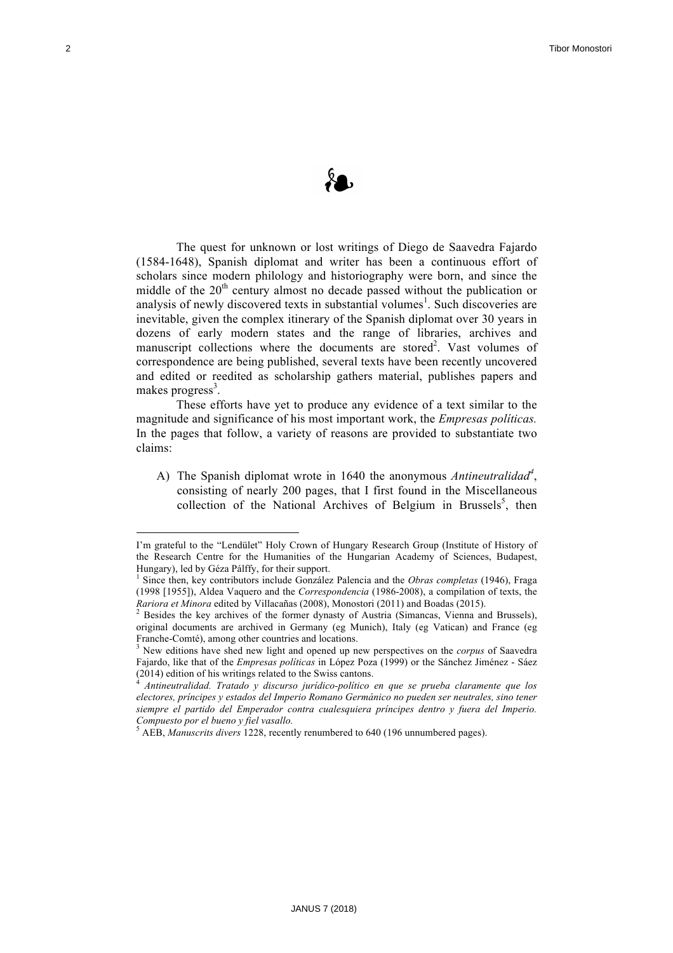

The quest for unknown or lost writings of Diego de Saavedra Fajardo (1584-1648), Spanish diplomat and writer has been a continuous effort of scholars since modern philology and historiography were born, and since the middle of the  $20<sup>th</sup>$  century almost no decade passed without the publication or analysis of newly discovered texts in substantial volumes<sup>1</sup>. Such discoveries are inevitable, given the complex itinerary of the Spanish diplomat over 30 years in dozens of early modern states and the range of libraries, archives and manuscript collections where the documents are stored<sup>2</sup>. Vast volumes of correspondence are being published, several texts have been recently uncovered and edited or reedited as scholarship gathers material, publishes papers and makes progress<sup>3</sup>.

These efforts have yet to produce any evidence of a text similar to the magnitude and significance of his most important work, the *Empresas políticas.*  In the pages that follow, a variety of reasons are provided to substantiate two claims:

A) The Spanish diplomat wrote in 1640 the anonymous *Antineutralidad<sup>4</sup>*, consisting of nearly 200 pages, that I first found in the Miscellaneous collection of the National Archives of Belgium in Brussels<sup>5</sup>, then

I'm grateful to the "Lendület" Holy Crown of Hungary Research Group (Institute of History of the Research Centre for the Humanities of the Hungarian Academy of Sciences, Budapest, Hungary), led by Géza Pálffy, for their support.

<sup>1</sup> Since then, key contributors include González Palencia and the *Obras completas* (1946), Fraga (1998 [1955]), Aldea Vaquero and the *Correspondencia* (1986-2008), a compilation of texts, the *Rariora et Minora* edited by Villacañas (2008), Monostori (2011) and Boadas (2015). 2 Besides the key archives of the former dynasty of Austria (Simancas, Vienna and Brussels),

original documents are archived in Germany (eg Munich), Italy (eg Vatican) and France (eg Franche-Comté), among other countries and locations. <sup>3</sup> New editions have shed new light and opened up new perspectives on the *corpus* of Saavedra

Fajardo, like that of the *Empresas políticas* in López Poza (1999) or the Sánchez Jiménez - Sáez (2014) edition of his writings related to the Swiss cantons.

<sup>4</sup> *Antineutralidad. Tratado y discurso jurídico-político en que se prueba claramente que los electores, príncipes y estados del Imperio Romano Germánico no pueden ser neutrales, sino tener siempre el partido del Emperador contra cualesquiera príncipes dentro y fuera del Imperio. Compuesto por el bueno y fiel vasallo.*

<sup>5</sup> AEB, *Manuscrits divers* 1228, recently renumbered to 640 (196 unnumbered pages).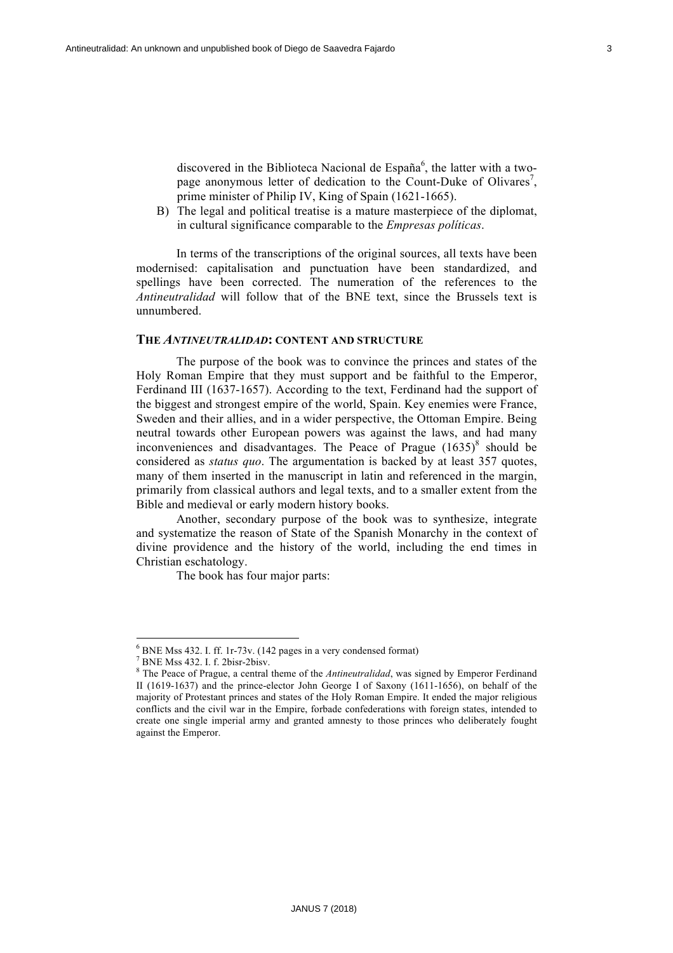discovered in the Biblioteca Nacional de España $^6$ , the latter with a twopage anonymous letter of dedication to the Count-Duke of Olivares<sup>7</sup>, prime minister of Philip IV, King of Spain (1621-1665).

B) The legal and political treatise is a mature masterpiece of the diplomat, in cultural significance comparable to the *Empresas políticas*.

In terms of the transcriptions of the original sources, all texts have been modernised: capitalisation and punctuation have been standardized, and spellings have been corrected. The numeration of the references to the *Antineutralidad* will follow that of the BNE text, since the Brussels text is unnumbered.

# **THE** *ANTINEUTRALIDAD***: CONTENT AND STRUCTURE**

The purpose of the book was to convince the princes and states of the Holy Roman Empire that they must support and be faithful to the Emperor, Ferdinand III (1637-1657). According to the text, Ferdinand had the support of the biggest and strongest empire of the world, Spain. Key enemies were France, Sweden and their allies, and in a wider perspective, the Ottoman Empire. Being neutral towards other European powers was against the laws, and had many inconveniences and disadvantages. The Peace of Prague  $(1635)^8$  should be considered as *status quo*. The argumentation is backed by at least 357 quotes, many of them inserted in the manuscript in latin and referenced in the margin, primarily from classical authors and legal texts, and to a smaller extent from the Bible and medieval or early modern history books.

Another, secondary purpose of the book was to synthesize, integrate and systematize the reason of State of the Spanish Monarchy in the context of divine providence and the history of the world, including the end times in Christian eschatology.

The book has four major parts:

<sup>&</sup>lt;sup>6</sup> BNE Mss 432. I. ff. 1r-73v. (142 pages in a very condensed format)<br>
<sup>7</sup> BNE Mss 432. I. f. 2bisr-2bisv.<br>
<sup>8</sup> The Peace of Prague, a central theme of the *Antineutralidad*, was signed by Emperor Ferdinand II (1619-1637) and the prince-elector John George I of Saxony (1611-1656), on behalf of the majority of Protestant princes and states of the Holy Roman Empire. It ended the major religious conflicts and the civil war in the Empire, forbade confederations with foreign states, intended to create one single imperial army and granted amnesty to those princes who deliberately fought against the Emperor.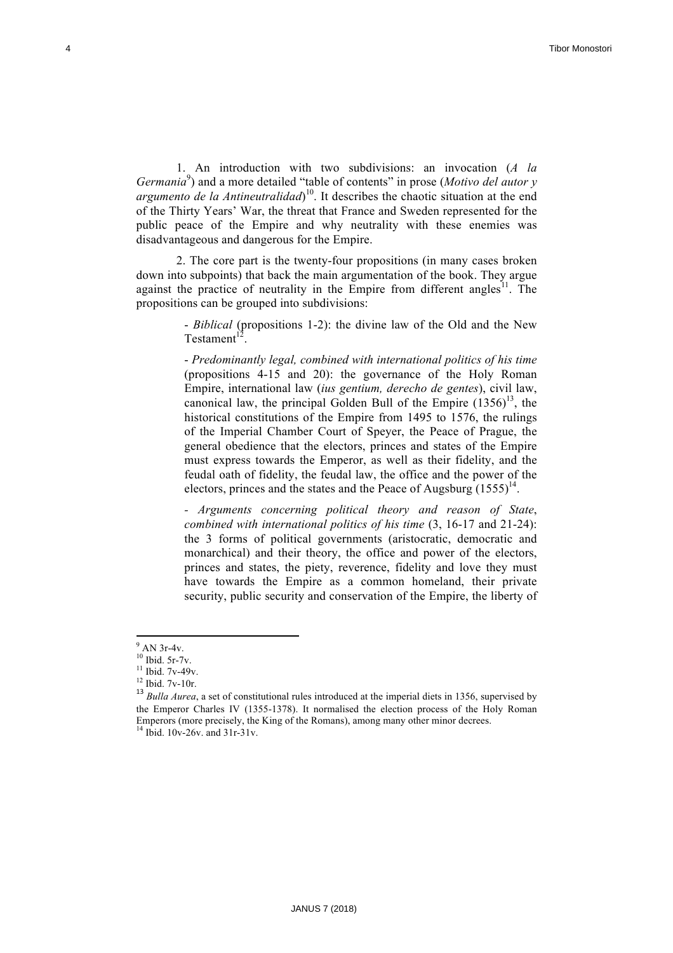1. An introduction with two subdivisions: an invocation (*A la Germania*<sup>9</sup> ) and a more detailed "table of contents" in prose (*Motivo del autor y argumento de la Antineutralidad*) 10. It describes the chaotic situation at the end of the Thirty Years' War, the threat that France and Sweden represented for the public peace of the Empire and why neutrality with these enemies was disadvantageous and dangerous for the Empire.

2. The core part is the twenty-four propositions (in many cases broken down into subpoints) that back the main argumentation of the book. They argue against the practice of neutrality in the Empire from different angles<sup>11</sup>. The propositions can be grouped into subdivisions:

> - *Biblical* (propositions 1-2): the divine law of the Old and the New  $Testament<sup>1</sup>$

> - *Predominantly legal, combined with international politics of his time* (propositions 4-15 and 20): the governance of the Holy Roman Empire, international law (*ius gentium, derecho de gentes*), civil law, canonical law, the principal Golden Bull of the Empire  $(1356)^{13}$ , the historical constitutions of the Empire from 1495 to 1576, the rulings of the Imperial Chamber Court of Speyer, the Peace of Prague, the general obedience that the electors, princes and states of the Empire must express towards the Emperor, as well as their fidelity, and the feudal oath of fidelity, the feudal law, the office and the power of the electors, princes and the states and the Peace of Augsburg  $(1555)^{14}$ .

> *- Arguments concerning political theory and reason of State*, *combined with international politics of his time* (3, 16-17 and 21-24): the 3 forms of political governments (aristocratic, democratic and monarchical) and their theory, the office and power of the electors, princes and states, the piety, reverence, fidelity and love they must have towards the Empire as a common homeland, their private security, public security and conservation of the Empire, the liberty of

<sup>&</sup>lt;sup>9</sup> AN 3r-4v.<br><sup>10</sup> Ibid. 5r-7v.<br><sup>11</sup> Ibid. 7v-49v.<br><sup>12</sup> Ibid. 7v-10r.<br><sup>13</sup> *Bulla Aurea*, a set of constitutional rules introduced at the imperial diets in 1356, supervised by the Emperor Charles IV (1355-1378). It normalised the election process of the Holy Roman Emperors (more precisely, the King of the Romans), among many other minor decrees. <sup>14</sup> Ibid. 10v-26v. and 31r-31v.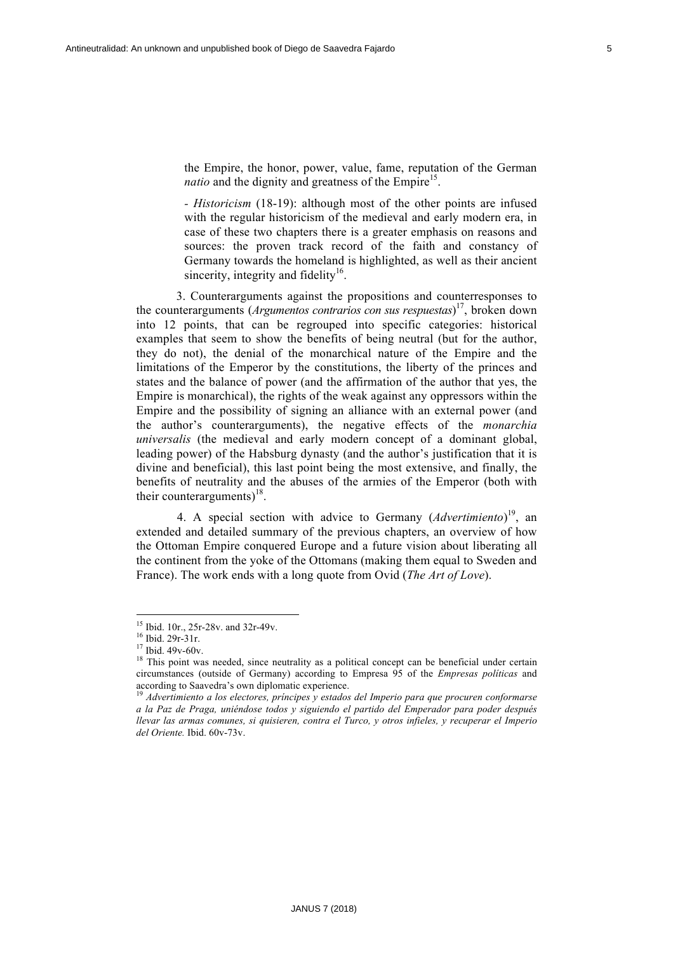the Empire, the honor, power, value, fame, reputation of the German *natio* and the dignity and greatness of the Empire<sup>15</sup>.

*- Historicism* (18-19): although most of the other points are infused with the regular historicism of the medieval and early modern era, in case of these two chapters there is a greater emphasis on reasons and sources: the proven track record of the faith and constancy of Germany towards the homeland is highlighted, as well as their ancient sincerity, integrity and fidelity<sup>16</sup>.

3. Counterarguments against the propositions and counterresponses to the counterarguments (*Argumentos contrarios con sus respuestas*) 17, broken down into 12 points, that can be regrouped into specific categories: historical examples that seem to show the benefits of being neutral (but for the author, they do not), the denial of the monarchical nature of the Empire and the limitations of the Emperor by the constitutions, the liberty of the princes and states and the balance of power (and the affirmation of the author that yes, the Empire is monarchical), the rights of the weak against any oppressors within the Empire and the possibility of signing an alliance with an external power (and the author's counterarguments), the negative effects of the *monarchia universalis* (the medieval and early modern concept of a dominant global, leading power) of the Habsburg dynasty (and the author's justification that it is divine and beneficial), this last point being the most extensive, and finally, the benefits of neutrality and the abuses of the armies of the Emperor (both with their counterarguments)<sup>18</sup>.

4. A special section with advice to Germany (*Advertimiento*) 19, an extended and detailed summary of the previous chapters, an overview of how the Ottoman Empire conquered Europe and a future vision about liberating all the continent from the yoke of the Ottomans (making them equal to Sweden and France). The work ends with a long quote from Ovid (*The Art of Love*).

<sup>&</sup>lt;sup>15</sup> Ibid. 10r., 25r-28v. and 32r-49v.

<sup>&</sup>lt;sup>16</sup> Ibid. 29r-31r.<br><sup>17</sup> Ibid. 49v-60v.<br><sup>18</sup> This point was needed, since neutrality as a political concept can be beneficial under certain circumstances (outside of Germany) according to Empresa 95 of the *Empresas políticas* and according to Saavedra's own diplomatic experience. <sup>19</sup> *Advertimiento a los electores, príncipes y estados del Imperio para que procuren conformarse* 

*a la Paz de Praga, uniéndose todos y siguiendo el partido del Emperador para poder después llevar las armas comunes, si quisieren, contra el Turco, y otros infieles, y recuperar el Imperio del Oriente.* Ibid. 60v-73v.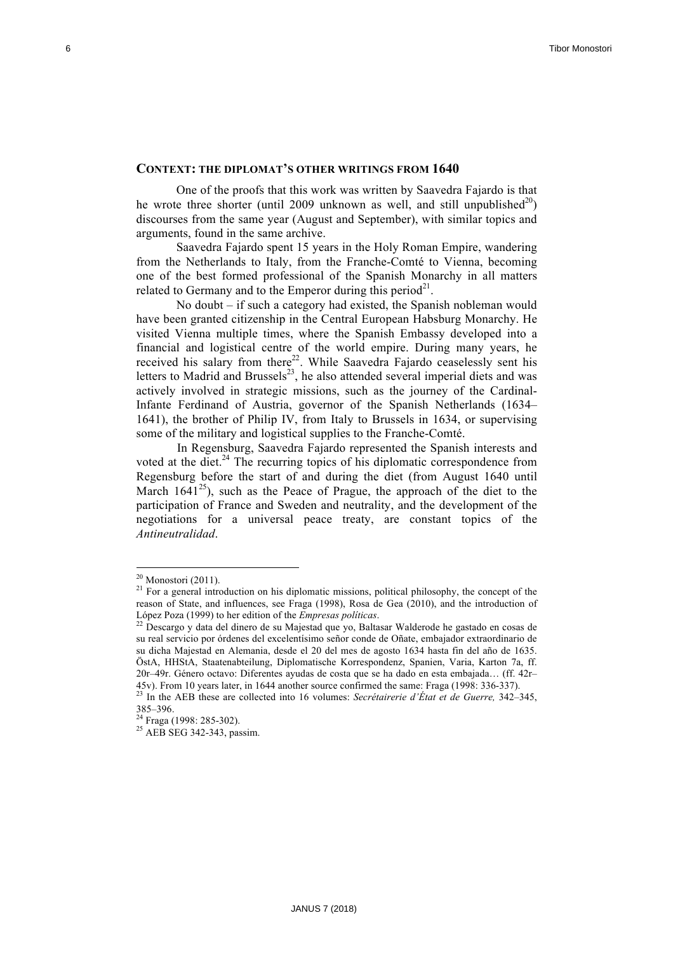# **CONTEXT: THE DIPLOMAT'S OTHER WRITINGS FROM 1640**

One of the proofs that this work was written by Saavedra Fajardo is that he wrote three shorter (until 2009 unknown as well, and still unpublished<sup>20</sup>) discourses from the same year (August and September), with similar topics and arguments, found in the same archive.

Saavedra Fajardo spent 15 years in the Holy Roman Empire, wandering from the Netherlands to Italy, from the Franche-Comté to Vienna, becoming one of the best formed professional of the Spanish Monarchy in all matters related to Germany and to the Emperor during this period<sup>21</sup>.

No doubt – if such a category had existed, the Spanish nobleman would have been granted citizenship in the Central European Habsburg Monarchy. He visited Vienna multiple times, where the Spanish Embassy developed into a financial and logistical centre of the world empire. During many years, he received his salary from there $^{22}$ . While Saavedra Fajardo ceaselessly sent his letters to Madrid and Brussels $^{23}$ , he also attended several imperial diets and was actively involved in strategic missions, such as the journey of the Cardinal-Infante Ferdinand of Austria, governor of the Spanish Netherlands (1634– 1641), the brother of Philip IV, from Italy to Brussels in 1634, or supervising some of the military and logistical supplies to the Franche-Comté.

In Regensburg, Saavedra Fajardo represented the Spanish interests and voted at the diet. $^{24}$  The recurring topics of his diplomatic correspondence from Regensburg before the start of and during the diet (from August 1640 until March  $1641^{25}$ ), such as the Peace of Prague, the approach of the diet to the participation of France and Sweden and neutrality, and the development of the negotiations for a universal peace treaty, are constant topics of the *Antineutralidad*.

<sup>&</sup>lt;sup>20</sup> Monostori (2011). <sup>21</sup> For a general introduction on his diplomatic missions, political philosophy, the concept of the reason of State, and influences, see Fraga (1998), Rosa de Gea (2010), and the introduction of López Poza (1999) to her edition of the *Empresas políticas*. <sup>22</sup> Descargo y data del dinero de su Majestad que yo, Baltasar Walderode he gastado en cosas de

su real servicio por órdenes del excelentísimo señor conde de Oñate, embajador extraordinario de su dicha Majestad en Alemania, desde el 20 del mes de agosto 1634 hasta fin del año de 1635. ÖstA, HHStA, Staatenabteilung, Diplomatische Korrespondenz, Spanien, Varia, Karton 7a, ff. 20r–49r. Género octavo: Diferentes ayudas de costa que se ha dado en esta embajada… (ff. 42r–

<sup>45</sup>v). From 10 years later, in 1644 another source confirmed the same: Fraga (1998: 336-337). 23 In the AEB these are collected into 16 volumes: *Secrétairerie d'État et de Guerre,* 342–345, 385–396. <sup>24</sup> Fraga (1998: 285-302). <sup>25</sup> AEB SEG 342-343, passim.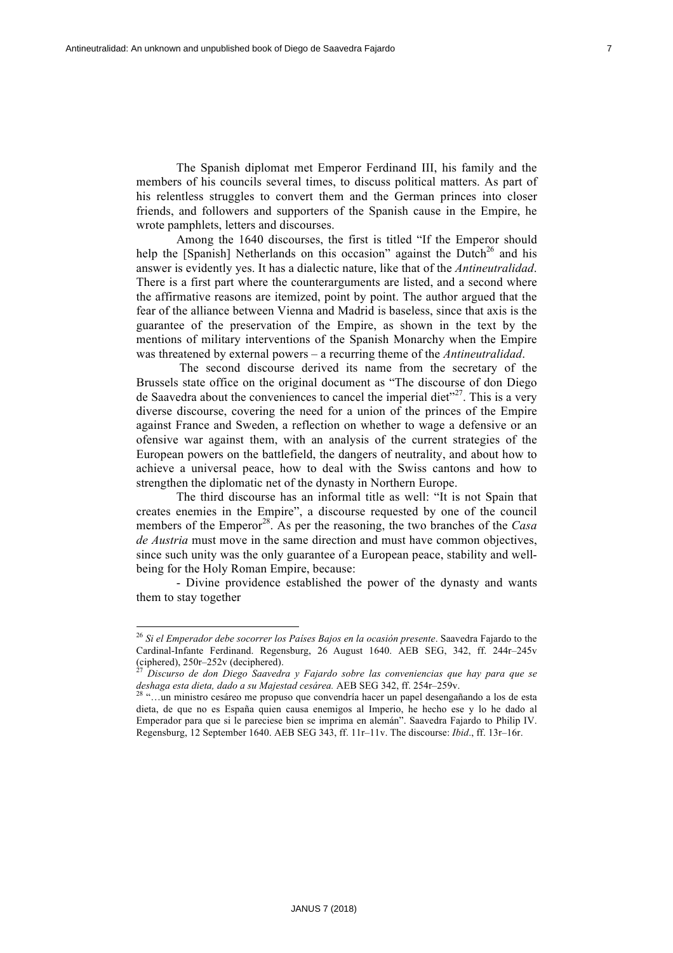The Spanish diplomat met Emperor Ferdinand III, his family and the members of his councils several times, to discuss political matters. As part of his relentless struggles to convert them and the German princes into closer friends, and followers and supporters of the Spanish cause in the Empire, he wrote pamphlets, letters and discourses.

Among the 1640 discourses, the first is titled "If the Emperor should help the [Spanish] Netherlands on this occasion" against the Dutch<sup>26</sup> and his answer is evidently yes. It has a dialectic nature, like that of the *Antineutralidad*. There is a first part where the counterarguments are listed, and a second where the affirmative reasons are itemized, point by point. The author argued that the fear of the alliance between Vienna and Madrid is baseless, since that axis is the guarantee of the preservation of the Empire, as shown in the text by the mentions of military interventions of the Spanish Monarchy when the Empire was threatened by external powers – a recurring theme of the *Antineutralidad*.

The second discourse derived its name from the secretary of the Brussels state office on the original document as "The discourse of don Diego de Saavedra about the conveniences to cancel the imperial diet<sup> $27$ </sup>. This is a very diverse discourse, covering the need for a union of the princes of the Empire against France and Sweden, a reflection on whether to wage a defensive or an ofensive war against them, with an analysis of the current strategies of the European powers on the battlefield, the dangers of neutrality, and about how to achieve a universal peace, how to deal with the Swiss cantons and how to strengthen the diplomatic net of the dynasty in Northern Europe.

The third discourse has an informal title as well: "It is not Spain that creates enemies in the Empire", a discourse requested by one of the council members of the Emperor<sup>28</sup>. As per the reasoning, the two branches of the *Casa de Austria* must move in the same direction and must have common objectives, since such unity was the only guarantee of a European peace, stability and wellbeing for the Holy Roman Empire, because:

- Divine providence established the power of the dynasty and wants them to stay together

<sup>26</sup> *Si el Emperador debe socorrer los Países Bajos en la ocasión presente*. Saavedra Fajardo to the Cardinal-Infante Ferdinand. Regensburg, 26 August 1640. AEB SEG, 342, ff. 244r–245v

<sup>).&</sup>lt;br>Discurso de don Diego Saavedra y Fajardo sobre las conveniencias que hay para que se *deshaga esta dieta, dado a su Majestad cesárea.* AEB SEG 342, ff. 254r–259v. <sup>28</sup> "…un ministro cesáreo me propuso que convendría hacer un papel desengañando a los de esta

dieta, de que no es España quien causa enemigos al Imperio, he hecho ese y lo he dado al Emperador para que si le pareciese bien se imprima en alemán". Saavedra Fajardo to Philip IV. Regensburg, 12 September 1640. AEB SEG 343, ff. 11r–11v. The discourse: *Ibid*., ff. 13r–16r.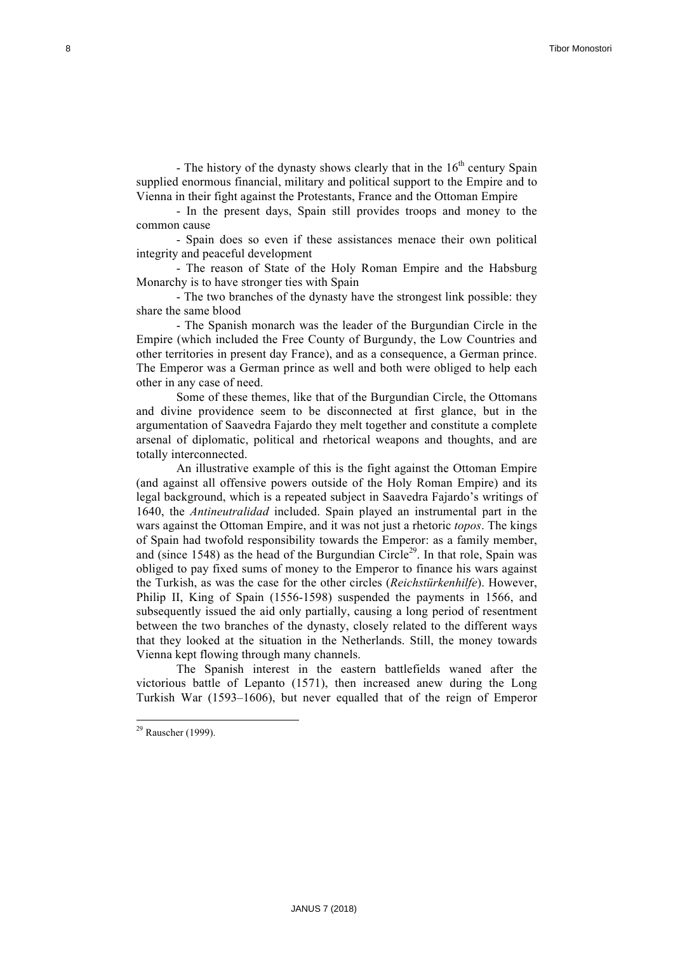- The history of the dynasty shows clearly that in the  $16<sup>th</sup>$  century Spain supplied enormous financial, military and political support to the Empire and to Vienna in their fight against the Protestants, France and the Ottoman Empire

- In the present days, Spain still provides troops and money to the common cause

- Spain does so even if these assistances menace their own political integrity and peaceful development

- The reason of State of the Holy Roman Empire and the Habsburg Monarchy is to have stronger ties with Spain

- The two branches of the dynasty have the strongest link possible: they share the same blood

- The Spanish monarch was the leader of the Burgundian Circle in the Empire (which included the Free County of Burgundy, the Low Countries and other territories in present day France), and as a consequence, a German prince. The Emperor was a German prince as well and both were obliged to help each other in any case of need.

Some of these themes, like that of the Burgundian Circle, the Ottomans and divine providence seem to be disconnected at first glance, but in the argumentation of Saavedra Fajardo they melt together and constitute a complete arsenal of diplomatic, political and rhetorical weapons and thoughts, and are totally interconnected.

An illustrative example of this is the fight against the Ottoman Empire (and against all offensive powers outside of the Holy Roman Empire) and its legal background, which is a repeated subject in Saavedra Fajardo's writings of 1640, the *Antineutralidad* included. Spain played an instrumental part in the wars against the Ottoman Empire, and it was not just a rhetoric *topos*. The kings of Spain had twofold responsibility towards the Emperor: as a family member, and (since 1548) as the head of the Burgundian Circle<sup>29</sup>. In that role, Spain was obliged to pay fixed sums of money to the Emperor to finance his wars against the Turkish, as was the case for the other circles (*Reichstürkenhilfe*). However, Philip II, King of Spain (1556-1598) suspended the payments in 1566, and subsequently issued the aid only partially, causing a long period of resentment between the two branches of the dynasty, closely related to the different ways that they looked at the situation in the Netherlands. Still, the money towards Vienna kept flowing through many channels.

The Spanish interest in the eastern battlefields waned after the victorious battle of Lepanto (1571), then increased anew during the Long Turkish War (1593–1606), but never equalled that of the reign of Emperor

 

 $29$  Rauscher (1999).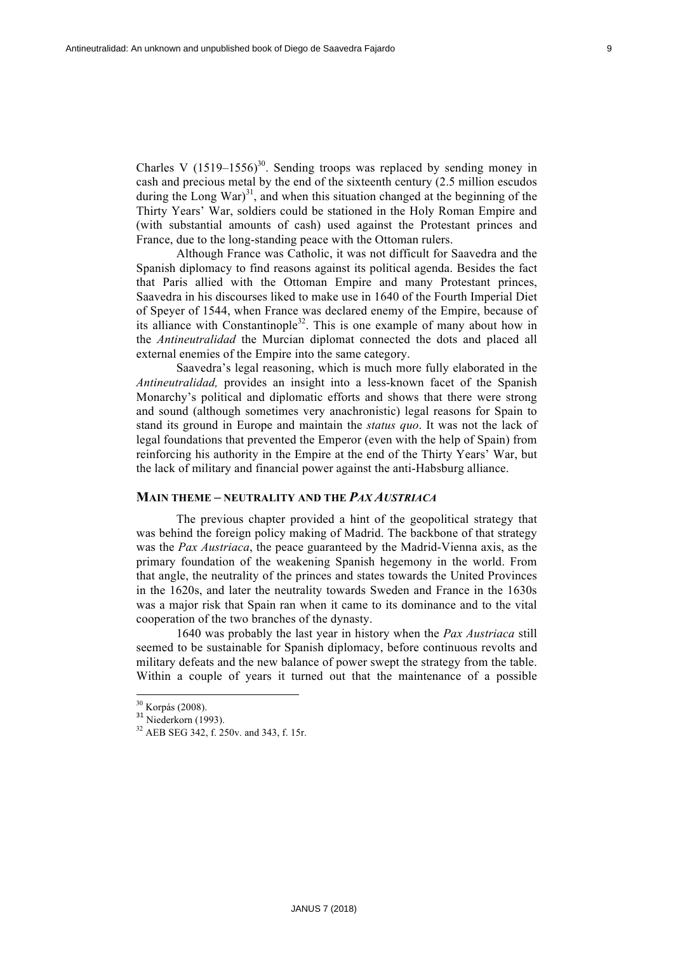Charles V  $(1519-1556)^{30}$ . Sending troops was replaced by sending money in cash and precious metal by the end of the sixteenth century (2.5 million escudos during the Long War $^{31}$ , and when this situation changed at the beginning of the Thirty Years' War, soldiers could be stationed in the Holy Roman Empire and (with substantial amounts of cash) used against the Protestant princes and France, due to the long-standing peace with the Ottoman rulers.

Although France was Catholic, it was not difficult for Saavedra and the Spanish diplomacy to find reasons against its political agenda. Besides the fact that Paris allied with the Ottoman Empire and many Protestant princes, Saavedra in his discourses liked to make use in 1640 of the Fourth Imperial Diet of Speyer of 1544, when France was declared enemy of the Empire, because of its alliance with Constantinople<sup>32</sup>. This is one example of many about how in the *Antineutralidad* the Murcian diplomat connected the dots and placed all external enemies of the Empire into the same category.

Saavedra's legal reasoning, which is much more fully elaborated in the *Antineutralidad,* provides an insight into a less-known facet of the Spanish Monarchy's political and diplomatic efforts and shows that there were strong and sound (although sometimes very anachronistic) legal reasons for Spain to stand its ground in Europe and maintain the *status quo*. It was not the lack of legal foundations that prevented the Emperor (even with the help of Spain) from reinforcing his authority in the Empire at the end of the Thirty Years' War, but the lack of military and financial power against the anti-Habsburg alliance.

#### **MAIN THEME – NEUTRALITY AND THE** *PAX AUSTRIACA*

The previous chapter provided a hint of the geopolitical strategy that was behind the foreign policy making of Madrid. The backbone of that strategy was the *Pax Austriaca*, the peace guaranteed by the Madrid-Vienna axis, as the primary foundation of the weakening Spanish hegemony in the world. From that angle, the neutrality of the princes and states towards the United Provinces in the 1620s, and later the neutrality towards Sweden and France in the 1630s was a major risk that Spain ran when it came to its dominance and to the vital cooperation of the two branches of the dynasty.

1640 was probably the last year in history when the *Pax Austriaca* still seemed to be sustainable for Spanish diplomacy, before continuous revolts and military defeats and the new balance of power swept the strategy from the table. Within a couple of years it turned out that the maintenance of a possible

 $\frac{30}{31}$  Korpás (2008).<br><sup>31</sup> Niederkorn (1993).

<sup>32</sup> AEB SEG 342, f. 250v. and 343, f. 15r.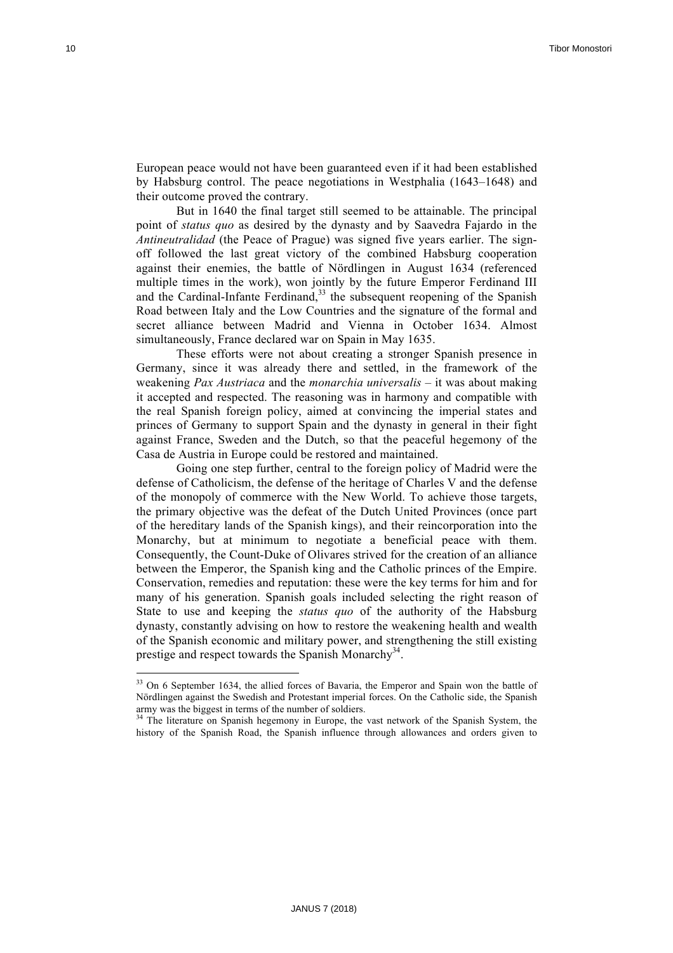European peace would not have been guaranteed even if it had been established by Habsburg control. The peace negotiations in Westphalia (1643–1648) and their outcome proved the contrary.

But in 1640 the final target still seemed to be attainable. The principal point of *status quo* as desired by the dynasty and by Saavedra Fajardo in the *Antineutralidad* (the Peace of Prague) was signed five years earlier. The signoff followed the last great victory of the combined Habsburg cooperation against their enemies, the battle of Nördlingen in August 1634 (referenced multiple times in the work), won jointly by the future Emperor Ferdinand III and the Cardinal-Infante Ferdinand, $33$  the subsequent reopening of the Spanish Road between Italy and the Low Countries and the signature of the formal and secret alliance between Madrid and Vienna in October 1634. Almost simultaneously, France declared war on Spain in May 1635.

These efforts were not about creating a stronger Spanish presence in Germany, since it was already there and settled, in the framework of the weakening *Pax Austriaca* and the *monarchia universalis* – it was about making it accepted and respected. The reasoning was in harmony and compatible with the real Spanish foreign policy, aimed at convincing the imperial states and princes of Germany to support Spain and the dynasty in general in their fight against France, Sweden and the Dutch, so that the peaceful hegemony of the Casa de Austria in Europe could be restored and maintained.

Going one step further, central to the foreign policy of Madrid were the defense of Catholicism, the defense of the heritage of Charles V and the defense of the monopoly of commerce with the New World. To achieve those targets, the primary objective was the defeat of the Dutch United Provinces (once part of the hereditary lands of the Spanish kings), and their reincorporation into the Monarchy, but at minimum to negotiate a beneficial peace with them. Consequently, the Count-Duke of Olivares strived for the creation of an alliance between the Emperor, the Spanish king and the Catholic princes of the Empire. Conservation, remedies and reputation: these were the key terms for him and for many of his generation. Spanish goals included selecting the right reason of State to use and keeping the *status quo* of the authority of the Habsburg dynasty, constantly advising on how to restore the weakening health and wealth of the Spanish economic and military power, and strengthening the still existing prestige and respect towards the Spanish Monarchy<sup>34</sup>.

<sup>&</sup>lt;sup>33</sup> On 6 September 1634, the allied forces of Bavaria, the Emperor and Spain won the battle of Nördlingen against the Swedish and Protestant imperial forces. On the Catholic side, the Spanish army was the biggest in terms of the number of soldiers.

<sup>&</sup>lt;sup>34</sup> The literature on Spanish hegemony in Europe, the vast network of the Spanish System, the history of the Spanish Road, the Spanish influence through allowances and orders given to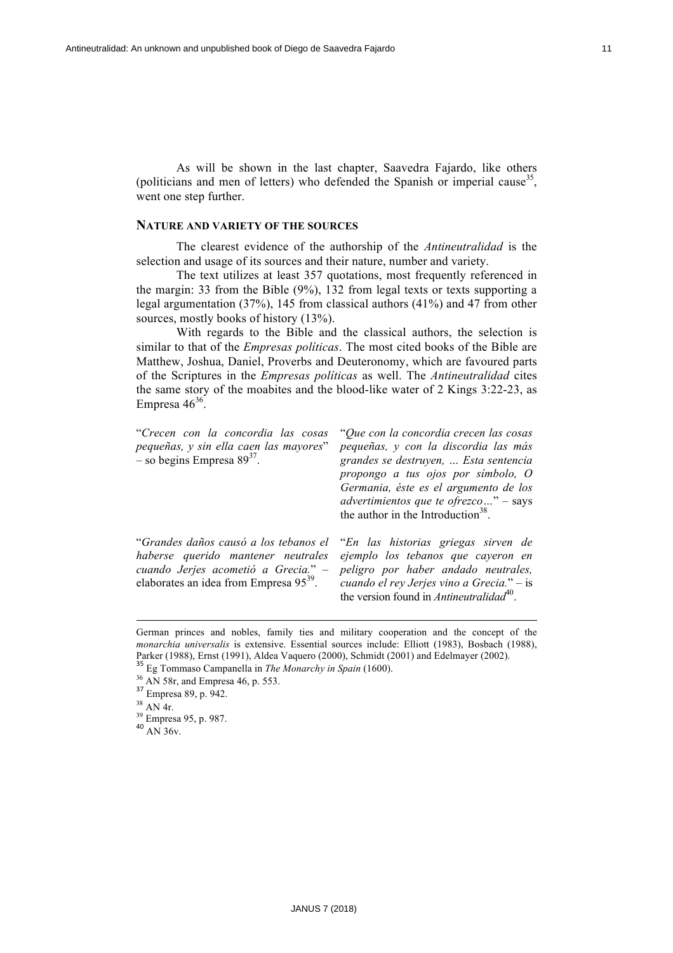As will be shown in the last chapter, Saavedra Fajardo, like others (politicians and men of letters) who defended the Spanish or imperial cause<sup>35</sup>, went one step further.

## **NATURE AND VARIETY OF THE SOURCES**

The clearest evidence of the authorship of the *Antineutralidad* is the selection and usage of its sources and their nature, number and variety.

The text utilizes at least 357 quotations, most frequently referenced in the margin: 33 from the Bible (9%), 132 from legal texts or texts supporting a legal argumentation (37%), 145 from classical authors (41%) and 47 from other sources, mostly books of history (13%).

With regards to the Bible and the classical authors, the selection is similar to that of the *Empresas políticas*. The most cited books of the Bible are Matthew, Joshua, Daniel, Proverbs and Deuteronomy, which are favoured parts of the Scriptures in the *Empresas políticas* as well. The *Antineutralidad* cites the same story of the moabites and the blood-like water of 2 Kings 3:22-23, as Empresa  $46^{36}$ .

| "Crecen con la concordia las cosas<br>pequeñas, y sin ella caen las mayores"<br>$-$ so begins Empresa 89 <sup>37</sup> .                                                 | "Que con la concordia crecen las cosas<br>pequeñas, y con la discordia las más<br>grandes se destruyen,  Esta sentencia<br>propongo a tus ojos por símbolo, O<br>Germania, éste es el argumento de los<br><i>advertimientos que te ofrezco</i> " – says<br>the author in the Introduction <sup>38</sup> . |
|--------------------------------------------------------------------------------------------------------------------------------------------------------------------------|-----------------------------------------------------------------------------------------------------------------------------------------------------------------------------------------------------------------------------------------------------------------------------------------------------------|
| "Grandes daños causó a los tebanos el<br>haberse querido mantener neutrales<br>cuando Jerjes acometió a Grecia." -<br>elaborates an idea from Empresa 95 <sup>39</sup> . | "En las historias griegas sirven de<br>ejemplo los tebanos que cayeron en<br>peligro por haber andado neutrales,<br>cuando el rey Jerjes vino a Grecia." – is<br>the version found in Antineutralidad <sup>40</sup> .                                                                                     |

<u> 1989 - Andrea San Andrea San Aonaichte ann an t-Aonaichte ann an t-Aonaichte ann an t-Aonaichte ann an t-Aon</u>

German princes and nobles, family ties and military cooperation and the concept of the *monarchia universalis* is extensive. Essential sources include: Elliott (1983), Bosbach (1988), Parker (1988), Ernst (1991), Aldea Vaquero (2000), Schmidt (2001) and Edelmayer (2002).

<sup>35</sup> Eg Tommaso Campanella in *The Monarchy in Spain* (1600).

 $^{36}$  AN 58r, and Empresa 46, p. 553.<br> $^{37}$  Empresa 89, p. 942.<br> $^{38}$  AN 4r.

 $^{39}_{39}$  Empresa 95, p. 987.<br><sup>40</sup> AN 36v.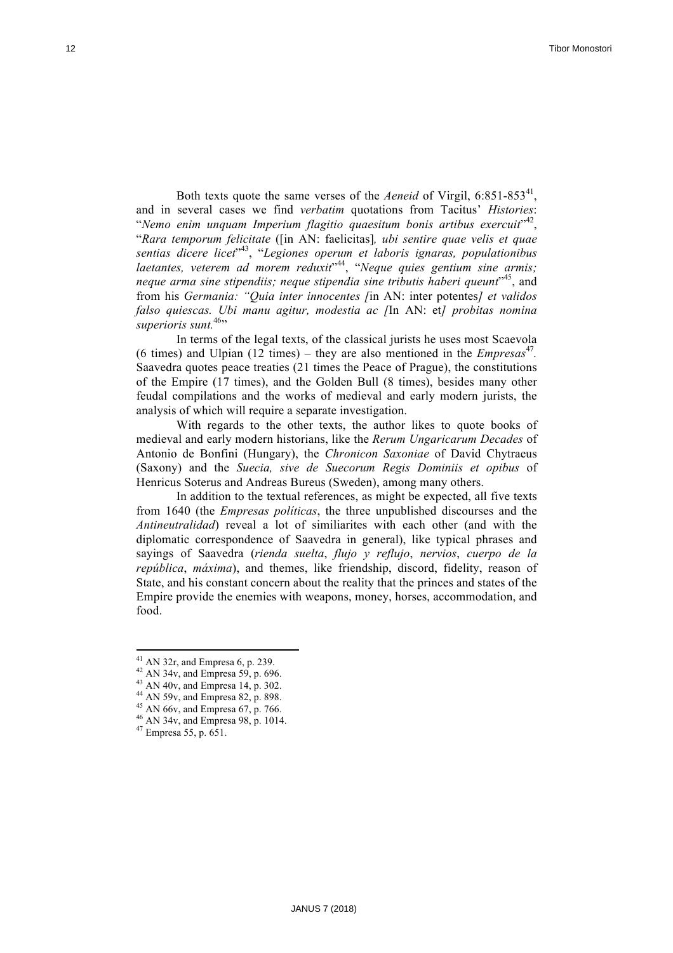Both texts quote the same verses of the *Aeneid* of Virgil, 6:851-853<sup>41</sup>, and in several cases we find *verbatim* quotations from Tacitus' *Histories*: "*Nemo enim unquam Imperium flagitio quaesitum bonis artibus exercuit*" 42, "*Rara temporum felicitate* ([in AN: faelicitas]*, ubi sentire quae velis et quae sentias dicere licet*" 43, "*Legiones operum et laboris ignaras, populationibus laetantes, veterem ad morem reduxit*" 44, "*Neque quies gentium sine armis; neque arma sine stipendiis; neque stipendia sine tributis haberi queunt*" 45, and from his *Germania: "Quia inter innocentes [*in AN: inter potentes*] et validos falso quiescas. Ubi manu agitur, modestia ac [*In AN: et*] probitas nomina*  superioris sunt.<sup>46</sup>"

In terms of the legal texts, of the classical jurists he uses most Scaevola (6 times) and Ulpian (12 times) – they are also mentioned in the  $Empressa<sup>47</sup>$ . Saavedra quotes peace treaties (21 times the Peace of Prague), the constitutions of the Empire (17 times), and the Golden Bull (8 times), besides many other feudal compilations and the works of medieval and early modern jurists, the analysis of which will require a separate investigation.

With regards to the other texts, the author likes to quote books of medieval and early modern historians, like the *Rerum Ungaricarum Decades* of Antonio de Bonfini (Hungary), the *Chronicon Saxoniae* of David Chytraeus (Saxony) and the *Suecia, sive de Suecorum Regis Dominiis et opibus* of Henricus Soterus and Andreas Bureus (Sweden), among many others.

In addition to the textual references, as might be expected, all five texts from 1640 (the *Empresas políticas*, the three unpublished discourses and the *Antineutralidad*) reveal a lot of similiarites with each other (and with the diplomatic correspondence of Saavedra in general), like typical phrases and sayings of Saavedra (*rienda suelta*, *flujo y reflujo*, *nervios*, *cuerpo de la república*, *máxima*), and themes, like friendship, discord, fidelity, reason of State, and his constant concern about the reality that the princes and states of the Empire provide the enemies with weapons, money, horses, accommodation, and food.

<sup>&</sup>lt;sup>41</sup> AN 32r, and Empresa 6, p. 239.<br><sup>42</sup> AN 34v, and Empresa 59, p. 696.<br><sup>43</sup> AN 40v, and Empresa 14, p. 302.<br><sup>44</sup> AN 59v, and Empresa 82, p. 898.<br><sup>45</sup> AN 66v, and Empresa 67, p. 766.<br><sup>46</sup> AN 34v, and Empresa 98, p. 1014.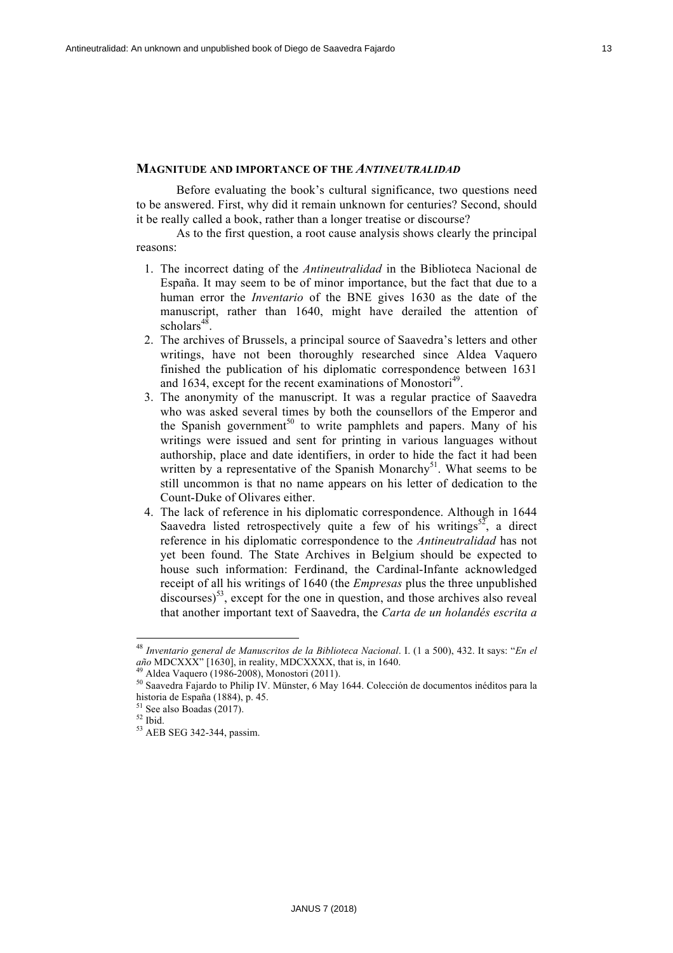# **MAGNITUDE AND IMPORTANCE OF THE** *ANTINEUTRALIDAD*

Before evaluating the book's cultural significance, two questions need to be answered. First, why did it remain unknown for centuries? Second, should it be really called a book, rather than a longer treatise or discourse?

As to the first question, a root cause analysis shows clearly the principal reasons:

- 1. The incorrect dating of the *Antineutralidad* in the Biblioteca Nacional de España. It may seem to be of minor importance, but the fact that due to a human error the *Inventario* of the BNE gives 1630 as the date of the manuscript, rather than 1640, might have derailed the attention of scholars $48$
- 2. The archives of Brussels, a principal source of Saavedra's letters and other writings, have not been thoroughly researched since Aldea Vaquero finished the publication of his diplomatic correspondence between 1631 and 1634, except for the recent examinations of Monostori<sup>49</sup>.
- 3. The anonymity of the manuscript. It was a regular practice of Saavedra who was asked several times by both the counsellors of the Emperor and the Spanish government<sup>50</sup> to write pamphlets and papers. Many of his writings were issued and sent for printing in various languages without authorship, place and date identifiers, in order to hide the fact it had been written by a representative of the Spanish Monarchy<sup>51</sup>. What seems to be still uncommon is that no name appears on his letter of dedication to the Count-Duke of Olivares either.
- 4. The lack of reference in his diplomatic correspondence. Although in 1644 Saavedra listed retrospectively quite a few of his writings<sup>52</sup>, a direct reference in his diplomatic correspondence to the *Antineutralidad* has not yet been found. The State Archives in Belgium should be expected to house such information: Ferdinand, the Cardinal-Infante acknowledged receipt of all his writings of 1640 (the *Empresas* plus the three unpublished  $\arccos$ <sub>553</sub>, except for the one in question, and those archives also reveal that another important text of Saavedra, the *Carta de un holandés escrita a*

<sup>48</sup> *Inventario general de Manuscritos de la Biblioteca Nacional*. I. (1 a 500), 432. It says: "*En el* 

<sup>&</sup>lt;sup>49</sup> Aldea Vaquero (1986-2008), Monostori (2011).<br><sup>50</sup> Saavedra Fajardo to Philip IV. Münster, 6 May 1644. Colección de documentos inéditos para la historia de España (1884), p. 45.

<sup>&</sup>lt;sup>51</sup> See also Boadas (2017).<br><sup>52</sup> Ibid.<br><sup>53</sup> AEB SEG 342-344, passim.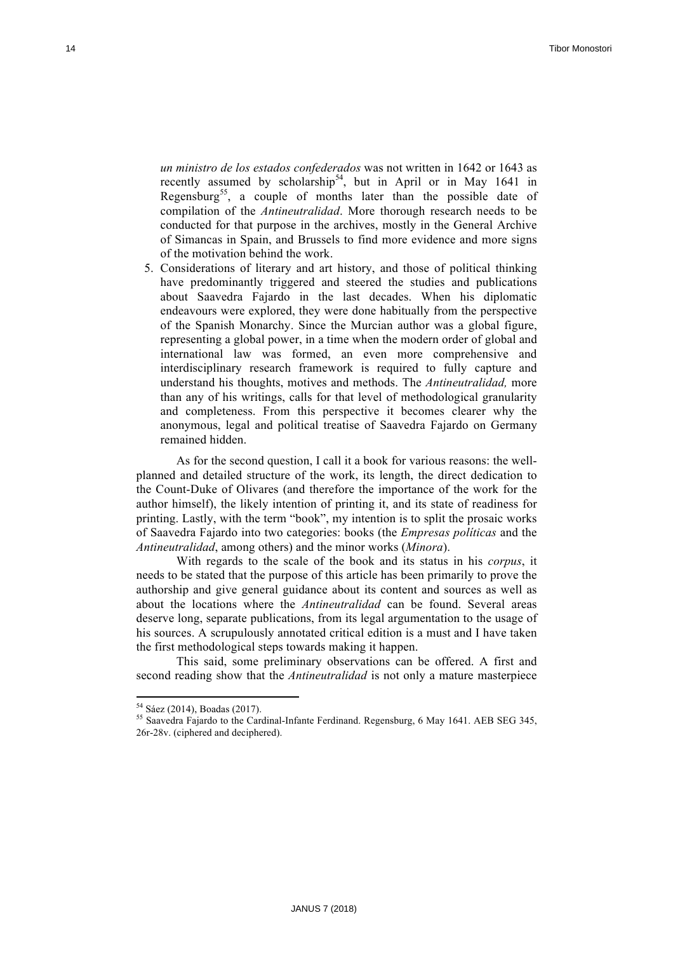*un ministro de los estados confederados* was not written in 1642 or 1643 as recently assumed by scholarship<sup>54</sup>, but in April or in May 1641 in Regensburg<sup>55</sup>, a couple of months later than the possible date of compilation of the *Antineutralidad*. More thorough research needs to be conducted for that purpose in the archives, mostly in the General Archive of Simancas in Spain, and Brussels to find more evidence and more signs of the motivation behind the work.

5. Considerations of literary and art history, and those of political thinking have predominantly triggered and steered the studies and publications about Saavedra Fajardo in the last decades. When his diplomatic endeavours were explored, they were done habitually from the perspective of the Spanish Monarchy. Since the Murcian author was a global figure, representing a global power, in a time when the modern order of global and international law was formed, an even more comprehensive and interdisciplinary research framework is required to fully capture and understand his thoughts, motives and methods. The *Antineutralidad,* more than any of his writings, calls for that level of methodological granularity and completeness. From this perspective it becomes clearer why the anonymous, legal and political treatise of Saavedra Fajardo on Germany remained hidden.

As for the second question, I call it a book for various reasons: the wellplanned and detailed structure of the work, its length, the direct dedication to the Count-Duke of Olivares (and therefore the importance of the work for the author himself), the likely intention of printing it, and its state of readiness for printing. Lastly, with the term "book", my intention is to split the prosaic works of Saavedra Fajardo into two categories: books (the *Empresas políticas* and the *Antineutralidad*, among others) and the minor works (*Minora*).

With regards to the scale of the book and its status in his *corpus*, it needs to be stated that the purpose of this article has been primarily to prove the authorship and give general guidance about its content and sources as well as about the locations where the *Antineutralidad* can be found. Several areas deserve long, separate publications, from its legal argumentation to the usage of his sources. A scrupulously annotated critical edition is a must and I have taken the first methodological steps towards making it happen.

This said, some preliminary observations can be offered. A first and second reading show that the *Antineutralidad* is not only a mature masterpiece

 

 $54$  Sáez (2014), Boadas (2017).<br> $55$  Saavedra Fajardo to the Cardinal-Infante Ferdinand. Regensburg, 6 May 1641. AEB SEG 345, 26r-28v. (ciphered and deciphered).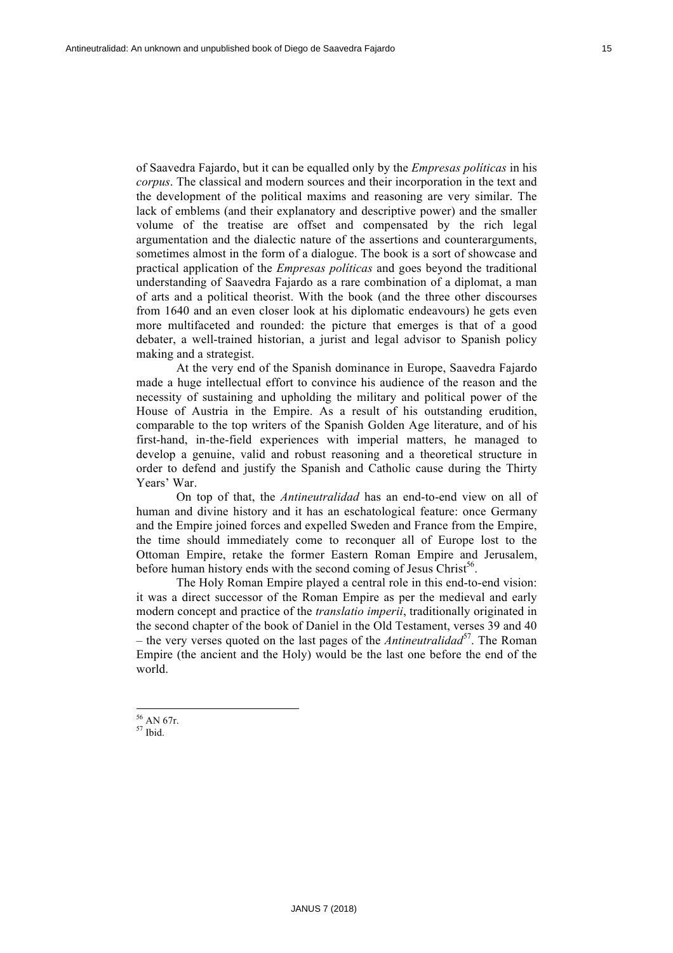of Saavedra Fajardo, but it can be equalled only by the *Empresas políticas* in his *corpus*. The classical and modern sources and their incorporation in the text and the development of the political maxims and reasoning are very similar. The lack of emblems (and their explanatory and descriptive power) and the smaller volume of the treatise are offset and compensated by the rich legal argumentation and the dialectic nature of the assertions and counterarguments, sometimes almost in the form of a dialogue. The book is a sort of showcase and practical application of the *Empresas políticas* and goes beyond the traditional understanding of Saavedra Fajardo as a rare combination of a diplomat, a man of arts and a political theorist. With the book (and the three other discourses from 1640 and an even closer look at his diplomatic endeavours) he gets even more multifaceted and rounded: the picture that emerges is that of a good debater, a well-trained historian, a jurist and legal advisor to Spanish policy making and a strategist.

At the very end of the Spanish dominance in Europe, Saavedra Fajardo made a huge intellectual effort to convince his audience of the reason and the necessity of sustaining and upholding the military and political power of the House of Austria in the Empire. As a result of his outstanding erudition, comparable to the top writers of the Spanish Golden Age literature, and of his first-hand, in-the-field experiences with imperial matters, he managed to develop a genuine, valid and robust reasoning and a theoretical structure in order to defend and justify the Spanish and Catholic cause during the Thirty Years' War.

On top of that, the *Antineutralidad* has an end-to-end view on all of human and divine history and it has an eschatological feature: once Germany and the Empire joined forces and expelled Sweden and France from the Empire, the time should immediately come to reconquer all of Europe lost to the Ottoman Empire, retake the former Eastern Roman Empire and Jerusalem, before human history ends with the second coming of Jesus Christ<sup>56</sup>.

The Holy Roman Empire played a central role in this end-to-end vision: it was a direct successor of the Roman Empire as per the medieval and early modern concept and practice of the *translatio imperii*, traditionally originated in the second chapter of the book of Daniel in the Old Testament, verses 39 and 40 – the very verses quoted on the last pages of the *Antineutralidad*<sup>57</sup>. The Roman Empire (the ancient and the Holy) would be the last one before the end of the world.

 $\frac{56}{57}$  AN 67r.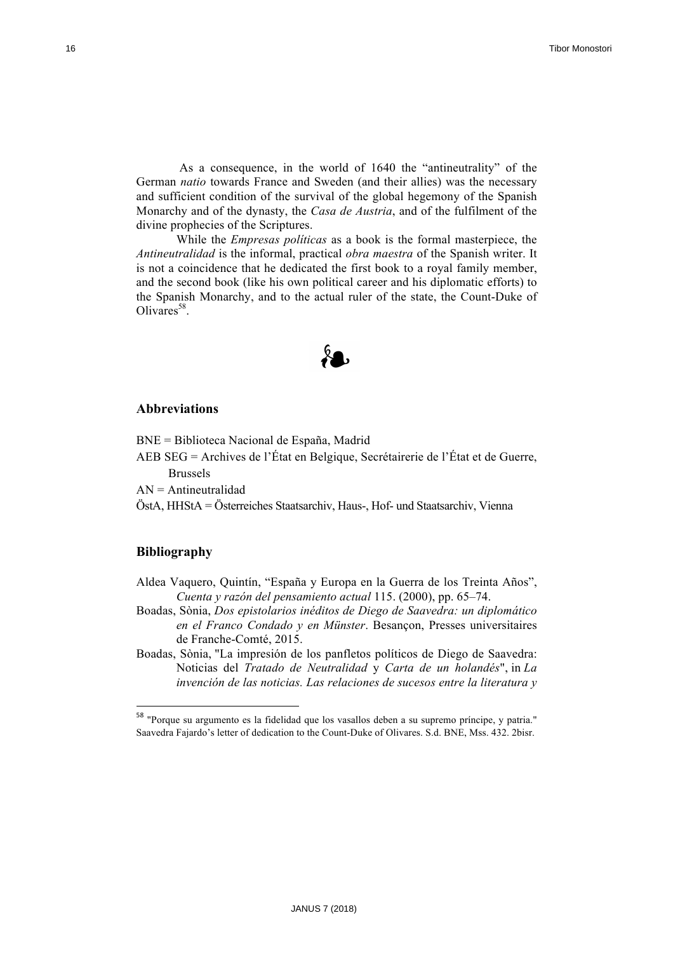As a consequence, in the world of 1640 the "antineutrality" of the German *natio* towards France and Sweden (and their allies) was the necessary and sufficient condition of the survival of the global hegemony of the Spanish Monarchy and of the dynasty, the *Casa de Austria*, and of the fulfilment of the divine prophecies of the Scriptures.

While the *Empresas políticas* as a book is the formal masterpiece, the *Antineutralidad* is the informal, practical *obra maestra* of the Spanish writer. It is not a coincidence that he dedicated the first book to a royal family member, and the second book (like his own political career and his diplomatic efforts) to the Spanish Monarchy, and to the actual ruler of the state, the Count-Duke of  $Olivares<sup>58</sup>$ .



# **Abbreviations**

BNE = Biblioteca Nacional de España, Madrid

- AEB SEG = Archives de l'État en Belgique, Secrétairerie de l'État et de Guerre, Brussels
- $AN = Antineutralidad$

<u> 1989 - Johann Stein, fransk politiker (d. 1989)</u>

ÖstA, HHStA = Österreiches Staatsarchiv, Haus-, Hof- und Staatsarchiv, Vienna

# **Bibliography**

- Aldea Vaquero, Quintín, "España y Europa en la Guerra de los Treinta Años", *Cuenta y razón del pensamiento actual* 115. (2000), pp. 65–74.
- Boadas, Sònia, *Dos epistolarios inéditos de Diego de Saavedra: un diplomático en el Franco Condado y en Münster*. Besançon, Presses universitaires de Franche-Comté, 2015.
- Boadas, Sònia, "La impresión de los panfletos políticos de Diego de Saavedra: Noticias del *Tratado de Neutralidad* y *Carta de un holandés*", in *La invención de las noticias. Las relaciones de sucesos entre la literatura y*

<sup>&</sup>lt;sup>58</sup> "Porque su argumento es la fidelidad que los vasallos deben a su supremo príncipe, y patria." Saavedra Fajardo's letter of dedication to the Count-Duke of Olivares. S.d. BNE, Mss. 432. 2bisr.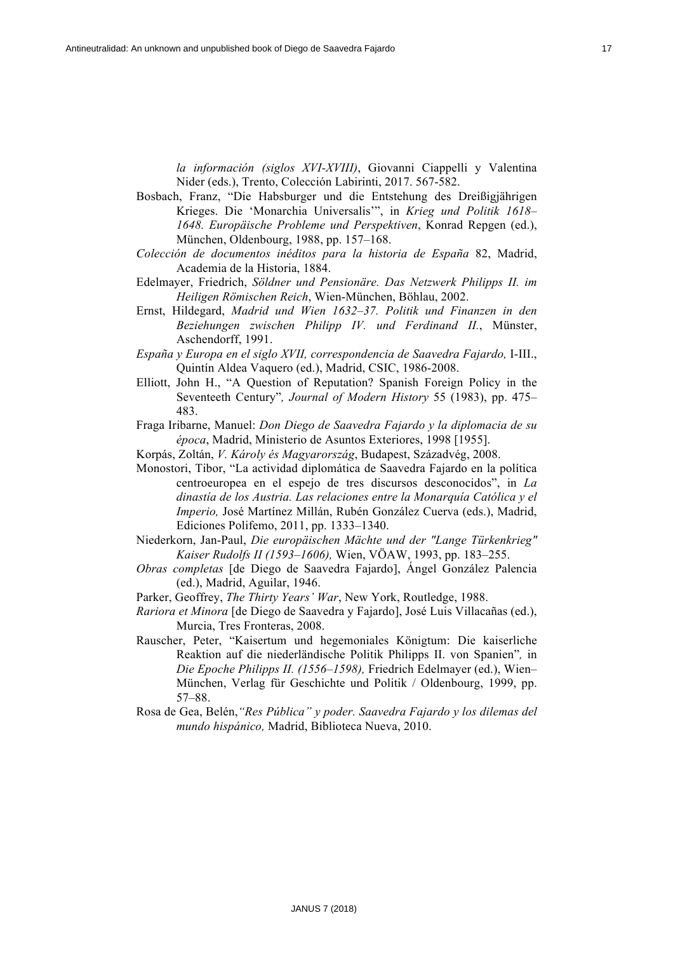*la información (siglos XVI-XVIII)*, Giovanni Ciappelli y Valentina Nider (eds.), Trento, Colección Labirinti, 2017. 567-582.

- Bosbach, Franz, "Die Habsburger und die Entstehung des Dreißigjährigen Krieges. Die 'Monarchia Universalis'", in *Krieg und Politik 1618– 1648. Europäische Probleme und Perspektiven*, Konrad Repgen (ed.), München, Oldenbourg, 1988, pp. 157–168.
- *Colección de documentos inéditos para la historia de España* 82, Madrid, Academia de la Historia, 1884.
- Edelmayer, Friedrich, *Söldner und Pensionäre. Das Netzwerk Philipps II. im Heiligen Römischen Reich*, Wien-München, Böhlau, 2002.
- Ernst, Hildegard, *Madrid und Wien 1632–37. Politik und Finanzen in den Beziehungen zwischen Philipp IV. und Ferdinand II.*, Münster, Aschendorff, 1991.
- *España y Europa en el siglo XVII, correspondencia de Saavedra Fajardo,* I-III., Quintín Aldea Vaquero (ed.), Madrid, CSIC, 1986-2008.
- Elliott, John H., "A Question of Reputation? Spanish Foreign Policy in the Seventeeth Century"*, Journal of Modern History* 55 (1983), pp. 475– 483.
- Fraga Iribarne, Manuel: *Don Diego de Saavedra Fajardo y la diplomacia de su época*, Madrid, Ministerio de Asuntos Exteriores, 1998 [1955].
- Korpás, Zoltán, *V. Károly és Magyarország*, Budapest, Századvég, 2008.
- Monostori, Tibor, "La actividad diplomática de Saavedra Fajardo en la política centroeuropea en el espejo de tres discursos desconocidos", in *La dinastía de los Austria. Las relaciones entre la Monarquía Católica y el Imperio,* José Martínez Millán, Rubén González Cuerva (eds.), Madrid, Ediciones Polifemo, 2011, pp. 1333–1340.
- Niederkorn, Jan-Paul, *Die europäischen Mächte und der "Lange Türkenkrieg" Kaiser Rudolfs II (1593–1606),* Wien, VÖAW, 1993, pp. 183–255.
- *Obras completas* [de Diego de Saavedra Fajardo], Ángel González Palencia (ed.), Madrid, Aguilar, 1946.
- Parker, Geoffrey, *The Thirty Years' War*, New York, Routledge, 1988.
- *Rariora et Minora* [de Diego de Saavedra y Fajardo], José Luis Villacañas (ed.), Murcia, Tres Fronteras, 2008.
- Rauscher, Peter, "Kaisertum und hegemoniales Königtum: Die kaiserliche Reaktion auf die niederländische Politik Philipps II. von Spanien"*,* in *Die Epoche Philipps II. (1556–1598),* Friedrich Edelmayer (ed.), Wien– München, Verlag für Geschichte und Politik / Oldenbourg, 1999, pp. 57–88.
- Rosa de Gea, Belén,*"Res Pública" y poder. Saavedra Fajardo y los dilemas del mundo hispánico,* Madrid, Biblioteca Nueva, 2010.